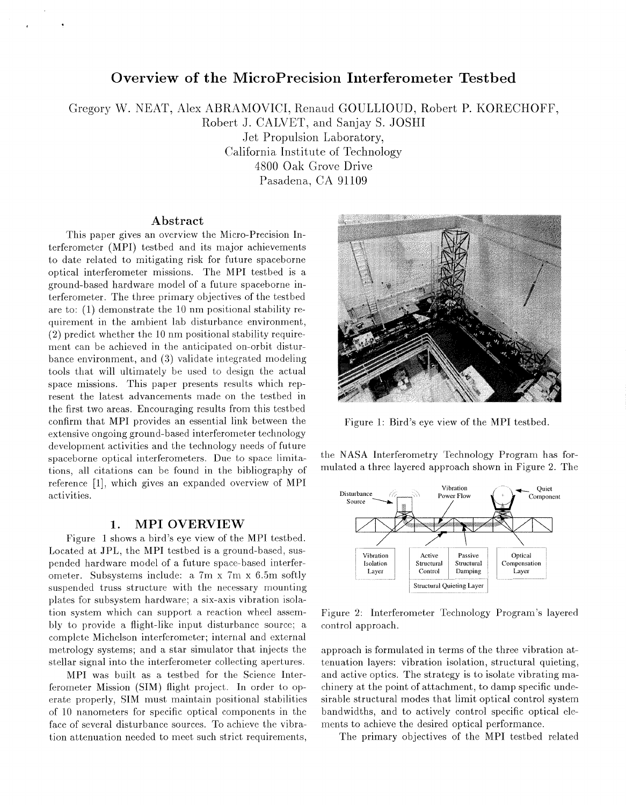# **Overview of the MicroPrecision Interferometer Testbed**

Gregory W. NEAT, Alex ABRAMOVICI, Remud GOULLIOUD, Robert P. KORECHOFF,

Robert J. CALVET, and Sanjay S. JOSH1

Jet Propulsion Laboratory, California Institute of Technology 4800 Oak Grove Drive Pasadena, CA 91109

#### **Abstract**

This paper gives an overview the Micro-Precision Interferometer (MPI) testbed and its major achievements to date related to mitigating risk for future spaceborne optical interferometer missions. The MPI testbed is a ground-based hardware model of a future spaceborne interferometer. The three primary objectives of the testbed are to: (1) demonstrate the 10 nm positional stability requirement in the ambient lab disturbance environment, (2) predict whether the 10 nm positional stability requirement can be achieved in the anticipated on-orbit disturbance environment, and *(3)* validate integrated modeling tools that will ultimately be used to design the actual space missions. This paper presents results which represent the latest advancements made on the testbed in the first two areas. Encouraging results from this testbed confirm that MPI provides an essential link between the extensive ongoing ground-based interferometer technology development activities and the technology needs of future spaceborne optical interferometers. Due to space limitations, all citations can be found in the bibliography of reference [1], which gives an expanded overview of MPI activities.

#### **1. MPI OVERVIEW**

Figure 1 shows a bird's eye view of the MPI testbed. Located at JPL, the MPI testbed is a ground-based, suspended hardware model of a future space-based interferometer. Subsystems include: a 7m x 7m x 6.5m softly suspended truss structure with the necessary mounting plates for subsystem hardware; a six-axis vibration isolation system which can support a reaction wheel assembly to provide a. flight-like input disturbance source; a complete Michelson interferometer; internal and external metrology systems; and a star simulator that injects the stellar signal into the interferometer collecting apertures.

MPI was built as a testbed for the Science Interferomekr Mission (SIM) flight project. In order to operate properly, SIM must maintain positional stabilities of 10 nanometers for specific optical components in the face of several disturbance sources. To achieve the vibration attenuation needed to meet such strict requirements,



Figure 1: Bird's eye view of the MPI testbed.

mulated a three layered approach shown in Figure 2. The



Figure 2: Interferometer Technology Program's layered control approach.

approach is formulated in terms of the three vibration attenuation layers: vibration isolation, structural quieting, and active optics. The strategy is to isolate vibrating machinery at the point of attachment, to damp specific undesirable structural modes that limit optical control system bandwidths, and to actively control specific optical elements to achieve the desired optical performance.

The primary objectives of the MPI testbed related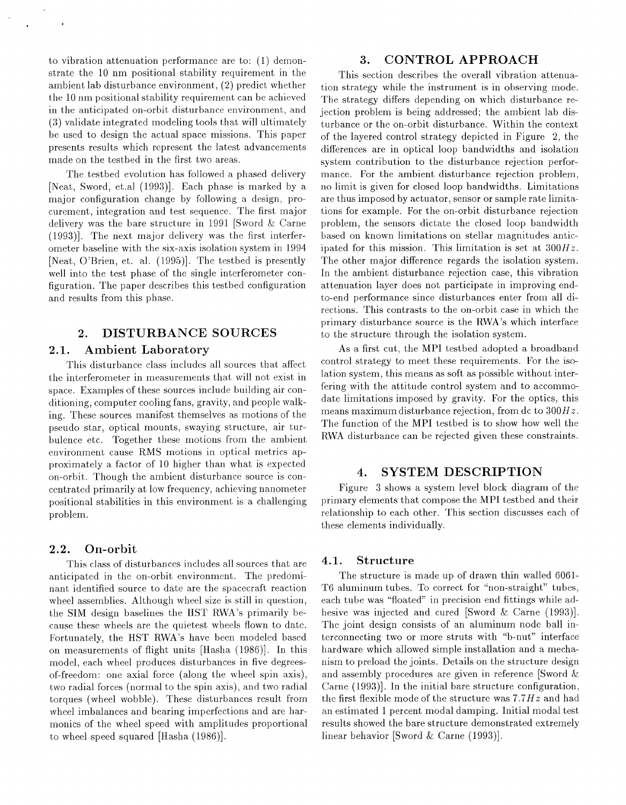to vibration attenuation performance are to:  $(1)$  demonstrate the 10 nm positional stability requirement in the ambient lab disturbance environment, (2) predict whether the 10 nm positional stability requirement can be achicved in the anticipated on-orbit disturbance environment, and *(3)* validate integrated modeling tools that will ultimately be used to design the actual space missions. This paper presents results which represent the latest advancements made on the testbed in the first two areas.

The testbed evolution has followed a phased delivery [Neat, Sword, et.al (1993)]. Each phase is marked by a major configuration change by following a design, procurement, integration and test sequence. 'The first major delivery was the bare structure in 1991 [Sword *8.~* Carne (1993)l. The next major delivery was the first interferometer baseline with the six-axis isolation system in 1994 [Neat, O'Brien, et. al. (1995)]. The testbed is presently well into the test phase of the single interferometer configuration. The paper describes this testbed configuration and results from this phase.

## **2. DISTURBANCE SOURCES**

#### **2.1. Ambient Laboratory**

This disturbance class includes all sources that affect the interferometer in measurements that will not exist in space. Examples of these sources include building air conditioning, computer cooling fans, gravity, and people walking. These sources manifest themselves as motions of the pseudo star, optical mounts, swaying structure, air tubulence etc. Together these motions from the ambient environment cause RMS motions in optical metrics approximately a. factor of 10 higher than what is expected on-orbit. Though the ambient disturbance source is concentrated primarily at low frequency, achieving nanometer positional stabilities in this environment is a challenging problem.

#### **2.2. On-orbit**

This class of disturbances includes all sources that are anticipated in the on-orbit environment. The predominant identified source to date are the spacecraft reaction wheel assemblies. Although wheel size is still in question, the SIM design baselines the HST RWA's primarily because these wheels are the quietest wheels flown to date. Fortunately, the HST RWA's have been modeled based on measurements of flight units [Hasha (1986)]. In this model, each wheel produces disturbances in five degreesof-freedom: one axial force (along the wheel spin axis), two radial forces (normal to the spin axis), and two radial torques (wheel wobble). These disturbances result from wheel imbalances and bearing imperfections and are harmonics of the wheel speed with amplitudes proportional to wheel speed squared [Hasha (1986)l.

## **3. CONTROL APPROACH**

This section describes the overall vibration attenuation strategy while the instrument is in observing mode. The strategy differs depending on which disturbance rejection problem is being addressed; the ambient lab disturbance or the on-orbit disturbance. Within the context of the layered control strategy depicted in Figure 2, the differences are in optical loop bandwidths and isolation system contribution to the disturbance rejection performance. For the ambient disturbance rejection problem, no limit is given for closed loop bandwidths. Limitations are thus imposed by actuator, sensor or sample rate limitations for example. For the on-orbit disturbance rejection problem, the sensors dictate the closed loop bandwidth based on known limitations on stelhr magnitudes anticipated for this mission. This limitation is set at *300Hz.*  The other major difference regards the isolation system. In the arnbient disturbance rejection case, this vibration attenuation layer does not participate in improving endto-end performance since disturbances enter from all directions. This contrasts to the on-orbit case in which the primary disturbance source is the RWA's which interface to the structure through the isolation system.

As a first cut, the MPI testbed adopted a broadband control strategy to meet these requirements. For the isolation system, this means as soft as possible without interfering with the attitude control system and to accommodate limitations imposed by gravity. For the optics, this means maximum disturbance rejection, from dc to  $300Hz$ . The function of the MPI testbed is to show how well the RWA disturbance can be rejected given these constraints.

#### **4. SYSTEM DESCRIPTION**

Figure *3* shows a system level block diagram of the primary elements that compose the MPI testbed and their relationship to each other. This section discusses each of these elements individually.

#### **4.1. Structure**

The structure is made up of drawn thin walled 6061- T6 aluminum tubes. To correct for "non-straight" tubes, each tube was "floated" in precision end fittings while adhesive was injected and cured [Sword & Carne (1993)]. The joint design consists of an aluminum node ball interconnecting two or more struts with "b-nut" interface hardware which allowed simple installation and a mechanism to preload the joints. Details on the structure design and assembly procedures are given in reference [Sword & Carne (1993)l. In the initial hare structure configuration, the first flexible mode of the structure was *7.7H.z* and had an estimated 1 percent modal damping. Initial modal test results showed the bare structure demonstrated extremely linear behavior [Sword & Carne (1993)].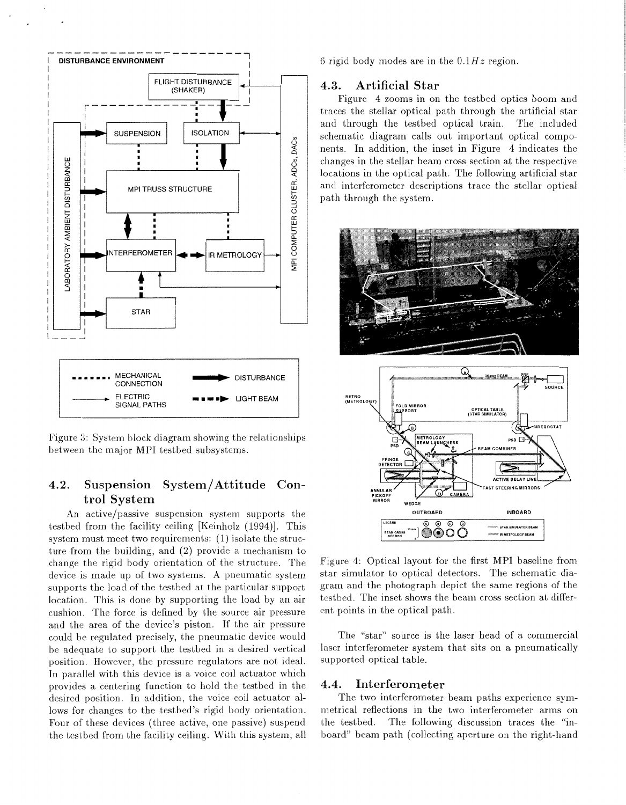

Figure *3:* System block diagram showing the relationships between the major MPI testbed subsystems.

## **4.2.** Suspension System/Attitude Control System

An active/passive suspension system supports the testbed from the facility ceiling [Keinholz (1994)l. This system must meet two requirements: (I) isolate the structure from the building, and (2) provide a mechanism to change the rigid body orientation of the structure. The device is made up of two systems. A pneumatic system supports the load of the testbed at the particular support location. This is done by supporting the load by an air cushion. The force is defined by the source air pressure and the area of the device's piston. If the air pressure could be regulated precisely, the pneumatic device would be adequate to support the testbed in a desired vertical position. However, the pressure regulators are not ideal. In parallel with this device is a voice coil actuator which provides a centering function to hold the testbed in the desired position. In addition, the voice coil actuator allows for changes to the testbed's rigid hody orientation. Four of these devices (three active, one passive) suspend the testbed from the facility ceiling. With this system, all 6 rigid body modes are in the *O.1Hz* region.

#### **4.3.** Artificial Star

Figure 4 zooms in on the testbed optics boom and traces the stellar optical path through the artificial star and through the testbed optical train. The included schematic diagram calls out important optical components. In addition, the inset in Figure 4 indicates the changes in the stellar beam cross section at the respective locations in the optical path. The following artificial star and interferometer descriptions trace the stellar optical path through the system.



Figure 4: Optical layout for the first MPI baseline from star simulator to optical detectors. The schematic diagram and the photograph depict the same regions of the testbed. The inset shows the beam cross section at different points in the optical path.

The "star" source is the laser head of a commercial laser interferometer system that sits on a pneumatically supported optical table.

#### **4.4.** Interferometer

The two interferometer beam paths experience symmetrical reflections in the two interferometer arms on the testbed. The following discussion traces the "inboard" beam path (collecting aperture on the right-hand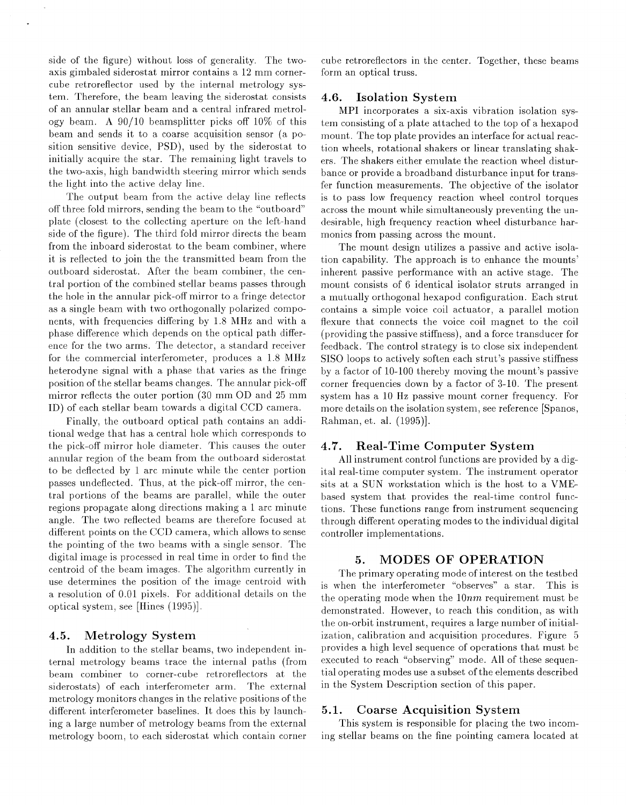side of the figure) without loss of generality. The twoaxis gimbaled siderostat mirror contains a 12 mm cornercube retroreflector used by the internal metrology system. Therefore, the beam leaving the siderostat consists of an annular stellar beam and a central infrared metrology beam. A 90/10 beamsplitter picks off 10% of this beam and sends it to a coarse acquisition sensor (a position sensitive device, PSD), used by the siderostat to initially acquire the star. The remaining light travels to the two-axis, high bandwidth steering mirror which sends the light into the active delay line.

The output beam from the active delay line reflects off three fold mirrors, sending the beam to the "outboard" plate (closest to the collecting aperture on the left-hand side of the figure). The third fold mirror directs the bearn from the inboard siderostat to the beam combiner, where it is refiected to join the the transmitted beam from the outboard siderostat. After the beam combiner, the central portion of the combined stellar beams passes through the hole in the annular pick-off mirror to a fringe detector as a single beam with two orthogonally polarized components, with frequencies dilfering by 1.8 MHz and with a phase difference which depends on the optical path difference for the two arms. The detector, a standard receiver for the commercial interferometer, produces a 1.8 MHz heterodyne signal with a phase that varies as the fringe position of the stellar beams changes. The annular pick-off mirror reflects the outer portion  $(30 \text{ mm } OD \text{ and } 25 \text{ mm})$ ID) of each stellar beam towards a digital CCD camera.

Finally, the outboard optical path contains an additional wedge that has a central hole which corresponds to the pick-off mirror hole diameter. This causes the outer annular region of the beam from the outboard siderostat to be deflected by 1 arc minute while the center portion passes undeflected. Thus, at the pick-off mirror, the central portions of the beams are parallel, while the outer regions propagate along directions malting a 1 arc minute angle. The two reflected beams are therefore focused at different points on the CCD camera, which allows to sense the pointing of the two beams with a single sensor. The digital image is processed in real time in order to find the centroid of the beam images. The algorithm currently in use determines the position of the image centroid with a resolution of 0.01 pixels. For additional details on the optical system, see [Hines  $(1995)$ ].

## **4.5. Metrology System**

In addition to the stellar beams, two independent internal metrology beams trace the internal paths (from beam combiner to corner-cube retroreflectors at the siderostats) of each interferometer arm. The external metrology monitors changes in the relative positions of the different interferometer baselines. It does this by launching a large number of metrology beams from the external metrology boom, to each siderostat which contain corner cube retroreflectors in the center. Together, these beams form an optical truss.

#### **4.6. Isolation System**

MPI incorporates a six-axis vibration isolation system consisting of a plate attached to the top of a hexapod mount. The top plate provides an interface for actual reaction wheels, rotational shakers or linear translating shakers. The shakers either emulate the reaction wheel disturbance or provide a broadband disturbance input for transfer function measurements. The objective of the isolator is to pass low frequency reaction wheel control torques across the mount while simultaneously preventing the undesirable, high frequency reaction wheel disturbance harmonics from passing across the mount.

The mount design utilizes a passive and active isolation capability. The approach is to enhance the mounts' inherent passive performance with an active stage. The mount consists of 6 identical isolator struts arranged in a. mutually orthogonal hexapod configuration. Each strut contains a simple voice coil actuator, a parallel motion flexure that connects the voice coil magnet to the coil (providing the passive stiffness), and a force transducer for feedback. The control strategy is to close six independent SlSO loops to actively soften each strut's passive stiffness by a factor of 10-100 thereby moving the mount's passive corner frequencies down by a factor of 3-10. The present system has a 10 Hz passive mount corner frequency. For more details on the isolation system, see reference [Spanos, R.ahman, et. ai. (1995)l.

#### **4.7. Real-Time computer System**

All instrument control functions are provided by a digitd real-time computer system. The instrument operator sits at a SUN workstation which is the host to a VMEbased system that provides the real-time control functions. These functions range from instrument sequencing through different operating modes to the individual digital controller implementations.

#### **5. MODES OF OPERATION**

The primary operating mode of interest on the testbed is when the interferometer "observes" a star. This is the operating mode when the *lOnm* requirement must be demonstrated. However, to reach this condition, as with the on-orbit instrument, requires a large number of initialization, calibration and acquisition procedures. Figure 5 provides a high level sequence of operations that must be executed to reach "observing" mode. All of these sequential operating modes use a subset of the elements described in the System Description section of this paper.

#### **5.1. Coarse Acquisition System**

This system is responsible for placing the two incoming stellar beams on the fine pointing camera located at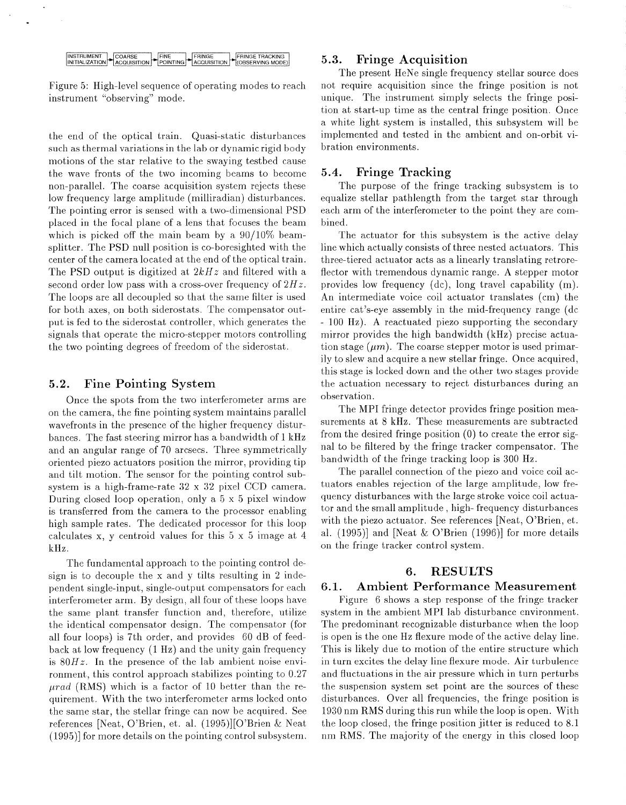INSTRUMENT COARSE FINE FRINGE FRINGE TRACKING<br>INITIALIZATION ACQUISITION POINTING COUISITION (OBSERVING MODE) FRINGE TRACKING

Figure 5: High-level sequence of operating modes to reach instrument "observing" mode.

the end of the optical train. Quasi-static disturbances such as thermal variations in the lab or dynamic rigid body motions of the star relative to the swaying testbed cause the wave fronts of the two incoming beams to become non-parallel. The coarse acquisition system rejects these low frequency large amplitude (milliradian) disturbances. The pointing error is sensed with a two-dimensional PSD placed in the focal plane of a lens that focuses the beam which is picked off the main beam by a  $90/10\%$  beamsplitter. The PSD null position is co-boresighted with the center of the camera located at the end of the optical train. The PSD output is digitized at *2kHz* and filtered with a second order low pass with a cross-over frequency of  $2Hz$ . The loops are all decoupled *so* that the same filter is used for both axes, on both siderostats. The compensator output is fed to the siderostat controller, which generates the signals that operate the micro-stepper motors controlling the two pointing degrees of freedom of the siderostat.

#### **5.2.** Fine Pointing System

Once the spots from the two interferometer arms are on the camera, the fine pointing system maintains parallel wavefronts in the presence of the higher frequency disturbances. The fast steering mirror has a bandwidth of 1 kHz and an angular range of 70 arcsecs. Three symmetrically oriented piezo actuators position the mirror, providing tip and tilt motion. The sensor for the pointing control subsystem is a high-frame-rate 32 x 32 pixel CCD camera. During closed loop operation, only a  $5 \times 5$  pixel window is transferred from the camera to the processor enabling high sample rates. The dedicated processor for this loop calculates x, y centroid values for this 5 x 5 image at 4 kHz.

The fundamental approach to the pointing control design is to decouple the x and y tilts resulting in 2 independent single-input, single-output compensators for each interferometer arm. By design, all four of these loops have the same plant transfer function and, therefore, utilize the identical compensator design. The compensator (for all four loops) is 7th order, and provides 60 dB of feedback at low frequency  $(1 \text{ Hz})$  and the unity gain frequency is *80Hz.* In the presence of the lab ambient noise environment, this control approach stabilizes pointing to 0.27 *prad* (RMS) which is a factor of 10 better than the requirement. With the two interferometer arms locked onto the same star, the stellar fringe can now he acquired. See references [Neat, O'Brien, et. al. (1995)][O'Brien & Neat (1995)] for more details on the pointing control subsystem.

## *5.3.* Fringe Acquisition

The present HeNe single frequency stellar source does not require acquisition since the fringe position is not unique. The instrument simply selects the fringe position at start-up time as the central fringe position. Once a white light system is installed, this subsystem will be implemented and tested in the ambient and on-orbit vibration environments.

#### **5.4.** Fringe Tracking

The purpose of the fringe tracking subsystem is to equalize stellar pathlength from the target star through each arm of the interferometer to the point they are combined.

The actuator for this subsystem is the active delay line which actually consists of three nested actuators. This three-tiered actuator acts as a linearly translating retroreflector with tremendous dynamic range. **A** stepper motor provides low frequency (dc), long travel capability  $(m)$ . An intermediate voice coil actuator translates (cm) the entire cat's-eye assembly in the mid-frequency range (dc - 100 Hz). A reactuated piezo supporting the secondary mirror provides the high bandwidth (kHz) precise actuation stage  $(\mu m)$ . The coarse stepper motor is used primarily to slew and acquire a new stellar fringe. Once acquired, this stage is locked down and the other two stages provide the actuation necessary to reject disturbances during an observation.

The MPI fringe detector provides fringe position measurements at  $8$  kHz. These measurements are subtracted from the desired fringe position (0) to create the error signal to be filtered by the fringe tracker compensator. The bandwidth of the fringe tracking loop is 300 **Hz.** 

The parallel connection of the piezo and voice coil actuators enables rejection of the large amplitude, low frequency disturbances with the large stroke voice coil actuator and the small amplitude, high- frequency disturbances with the piezo actuator. See references [Neat, O'Brien, et. al. (1995)] and [Neat & O'Brien (1996)] for more details on the fringe tracker control system.

## **6. RESULTS**

## **6.1.** Ambient Performance Measurement

Figure 6 shows a step response of the fringe tracker system in the ambient MPI lab disturbance environment. The predominant recognizable disturbance when the loop is open is the one Hz flexure mode of the active delay line. This is likely due to motion of the entire structure which in turn excites the delay line flexure mode. Air turbulence and fluctuations in the air pressure which in turn perturbs the suspension system set point are the sources of these disturbances. Over all frequencies, the fringe position is 1930 nm RMS during this run while the loop is open. With the loop closed, the fringe position jitter is reduced to 8.1 nm RMS. The majority of the energy in this closed loop